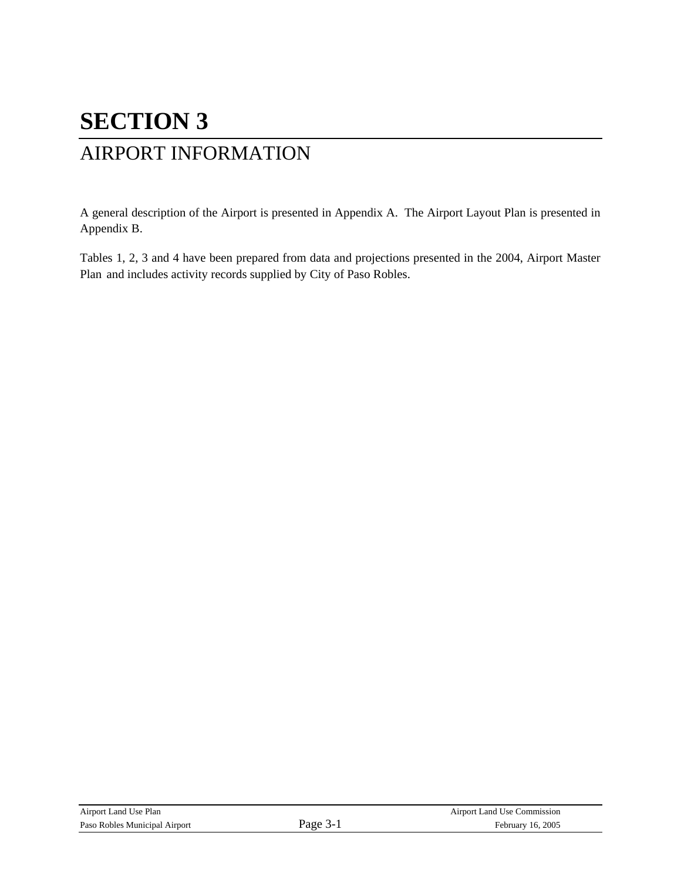# **SECTION 3**

## AIRPORT INFORMATION

A general description of the Airport is presented in Appendix A. The Airport Layout Plan is presented in Appendix B.

Tables 1, 2, 3 and 4 have been prepared from data and projections presented in the 2004, Airport Master Plan and includes activity records supplied by City of Paso Robles.

| Airport Land Use Plan         |      | Airport Land Use Commission |
|-------------------------------|------|-----------------------------|
| Paso Robles Municipal Airport | Page | February 16, 2005           |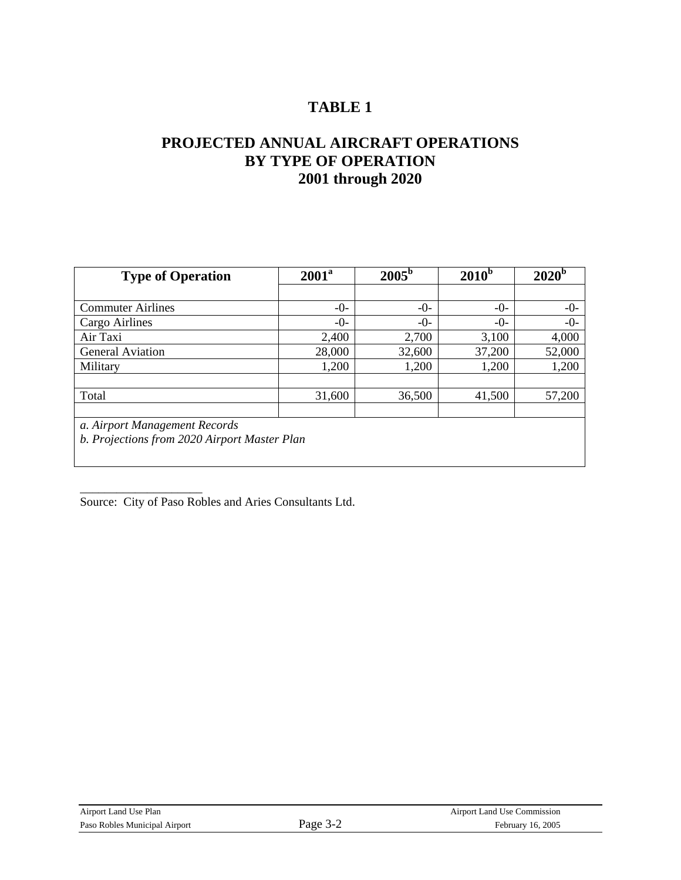### **PROJECTED ANNUAL AIRCRAFT OPERATIONS BY TYPE OF OPERATION 2001 through 2020**

| <b>Type of Operation</b>                     | $2005^{\rm b}$<br>2001 <sup>a</sup> |         | 2010 <sup>b</sup> | 2020 <sup>b</sup> |  |
|----------------------------------------------|-------------------------------------|---------|-------------------|-------------------|--|
|                                              |                                     |         |                   |                   |  |
| <b>Commuter Airlines</b>                     | $-0-$                               | $-0-$   | $-0-$             | $-0-$             |  |
| Cargo Airlines                               | $-0-$                               | $-()$ - | $-()$ -           | $-0-$             |  |
| Air Taxi                                     | 2,400                               | 2,700   | 3,100             | 4,000             |  |
| <b>General Aviation</b>                      | 28,000                              | 32,600  | 37,200            | 52,000            |  |
| Military                                     | 1,200                               | 1,200   | 1,200             | 1,200             |  |
|                                              |                                     |         |                   |                   |  |
| Total                                        | 31,600                              | 36,500  | 41,500            | 57,200            |  |
|                                              |                                     |         |                   |                   |  |
| a. Airport Management Records                |                                     |         |                   |                   |  |
| b. Projections from 2020 Airport Master Plan |                                     |         |                   |                   |  |
|                                              |                                     |         |                   |                   |  |

Source: City of Paso Robles and Aries Consultants Ltd.

\_\_\_\_\_\_\_\_\_\_\_\_\_\_\_\_\_\_\_\_

| Airport Land Use Plan         |        | Airport Land Use Commission |
|-------------------------------|--------|-----------------------------|
| Paso Robles Municipal Airport | Page 5 | February 16, 2005           |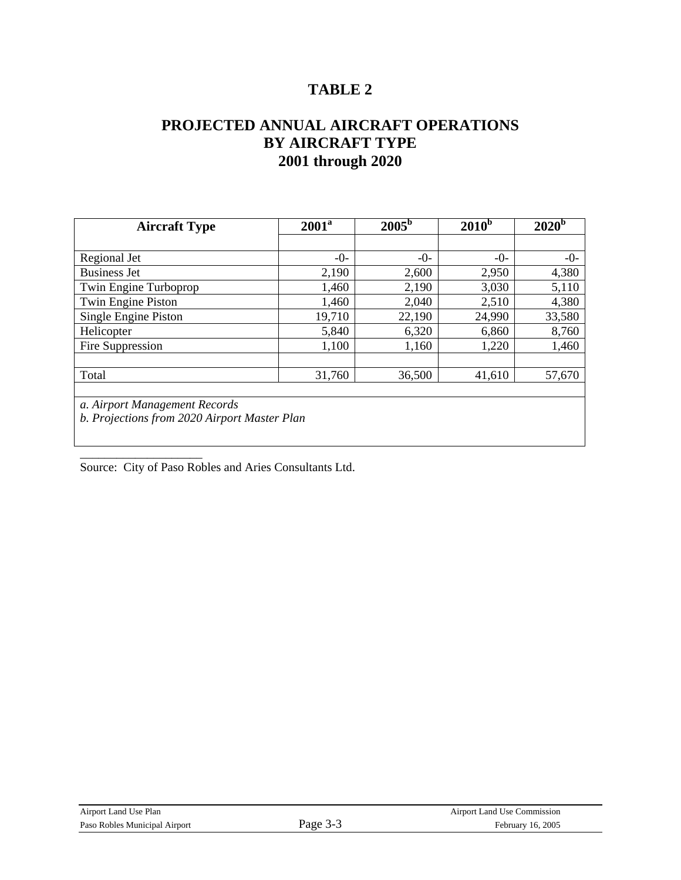### **PROJECTED ANNUAL AIRCRAFT OPERATIONS BY AIRCRAFT TYPE 2001 through 2020**

| <b>Aircraft Type</b>                         | $2005^{\rm b}$<br>2001 <sup>a</sup> |         | $2010^b$ | 2020 <sup>b</sup> |  |
|----------------------------------------------|-------------------------------------|---------|----------|-------------------|--|
|                                              |                                     |         |          |                   |  |
| Regional Jet                                 | $-0-$                               | $-()$ - | $-()$ -  | $-0-$             |  |
| <b>Business Jet</b>                          | 2,190                               | 2,600   | 2,950    | 4,380             |  |
| Twin Engine Turboprop                        | 1,460                               | 2,190   | 3,030    | 5,110             |  |
| Twin Engine Piston                           | 1,460                               | 2,040   | 2,510    | 4,380             |  |
| Single Engine Piston                         | 19,710                              | 22,190  | 24,990   | 33,580            |  |
| Helicopter                                   | 5,840                               | 6,320   | 6,860    | 8,760             |  |
| Fire Suppression                             | 1,100                               | 1,160   | 1,220    | 1,460             |  |
|                                              |                                     |         |          |                   |  |
| Total                                        | 31,760                              | 36,500  | 41,610   | 57,670            |  |
|                                              |                                     |         |          |                   |  |
| a. Airport Management Records                |                                     |         |          |                   |  |
| b. Projections from 2020 Airport Master Plan |                                     |         |          |                   |  |
|                                              |                                     |         |          |                   |  |

Source: City of Paso Robles and Aries Consultants Ltd.

\_\_\_\_\_\_\_\_\_\_\_\_\_\_\_\_\_\_\_\_

| Airport Land Use Plan         |          | <b>Airport Land Use Commission</b> |
|-------------------------------|----------|------------------------------------|
| Paso Robles Municipal Airport | Page 3-3 | February 16, 2005                  |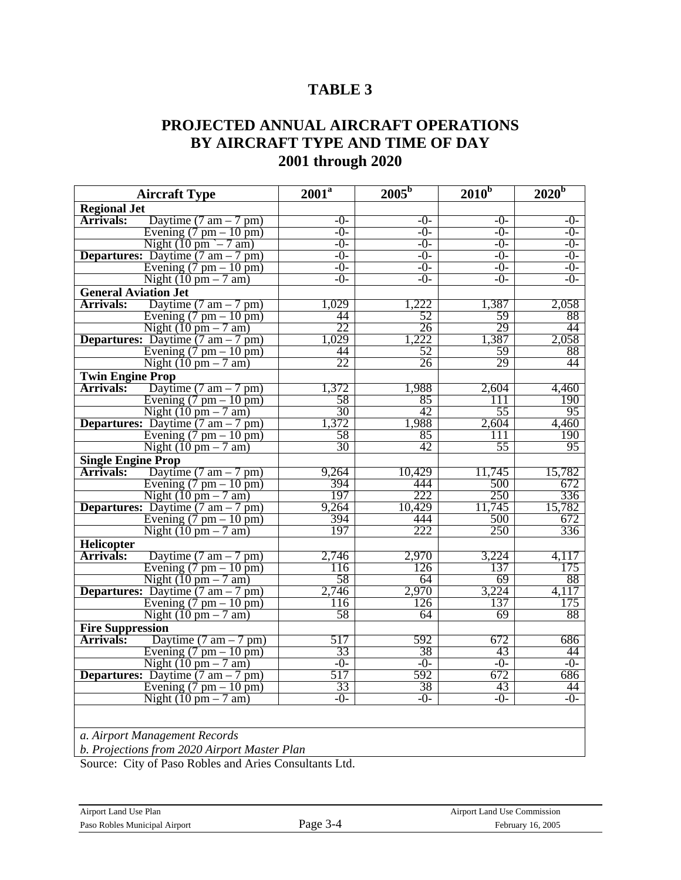### **PROJECTED ANNUAL AIRCRAFT OPERATIONS BY AIRCRAFT TYPE AND TIME OF DAY 2001 through 2020**

| <b>Aircraft Type</b>                                        | $2001^{\overline{a}}$ | $2005^{b}$ | 2010 <sup>b</sup> | $2020^{\mathrm{b}}$ |
|-------------------------------------------------------------|-----------------------|------------|-------------------|---------------------|
| <b>Regional Jet</b>                                         |                       |            |                   |                     |
| <b>Arrivals:</b><br>Daytime $(7 \text{ am} - 7 \text{ pm})$ | $-0-$                 | $-0-$      | $-0-$             | $-0-$               |
| Evening $(7 \text{ pm} - 10 \text{ pm})$                    | $-0-$                 | $-0-$      | $-0-$             | $-0-$               |
| Night $(10 \text{ pm } - 7 \text{ am})$                     | $-0-$                 | $-0-$      | $-()$ -           | $-0-$               |
| <b>Departures:</b> Daytime $(7 \text{ am} - 7 \text{ pm})$  | $-0-$                 | $-0-$      | $-0-$             | $-0-$               |
| Evening $(7 \text{ pm} - 10 \text{ pm})$                    | $-0-$                 | $-0-$      | $-0-$             | $-0-$               |
| Night $(10 \text{ pm} - 7 \text{ am})$                      | $-0-$                 | $-0-$      | $-()$ -           | $-0-$               |
| <b>General Aviation Jet</b>                                 |                       |            |                   |                     |
| <b>Arrivals:</b><br>Daytime $(7 \text{ am} - 7 \text{ pm})$ | 1,029                 | ,222       | 1,387             | 2,058               |
| Evening $(7 \text{ pm} - 10 \text{ pm})$                    | 44                    | 52         | 59                | 88                  |
| Night $(10 \text{ pm} - 7 \text{ am})$                      | 22                    | 26         | 29                | 44                  |
| <b>Departures:</b> Daytime $(7 \text{ am} - 7 \text{ pm})$  | 1,029                 | 1,222      | 1,387             | 2,058               |
| Evening $(7 \text{ pm} - 10 \text{ pm})$                    | 44                    | 52         | 59                | 88                  |
| Night $(10 \text{ pm} - 7 \text{ am})$                      | 22                    | 26         | 29                | 44                  |
| <b>Twin Engine Prop</b>                                     |                       |            |                   |                     |
| <b>Arrivals:</b><br>Daytime $(7 \text{ am} - 7 \text{ pm})$ | 1,372                 | 1,988      | 2,604             | 4,460               |
| Evening $(7 \text{ pm} - 10 \text{ pm})$                    | 58                    | 85         | 111               | 190                 |
| Night $(10 \text{ pm} - 7 \text{ am})$                      | 30                    | 42         | 55                | 95                  |
| <b>Departures:</b> Daytime $(7 \text{ am} - 7 \text{ pm})$  | 1,372                 | 1,988      | 2,604             | 4,460               |
| Evening $(7 \text{ pm} - 10 \text{ pm})$                    | 58                    | 85         | 111               | 190                 |
| Night $(10 \text{ pm} - 7 \text{ am})$                      | 30                    | 42         | 55                | 95                  |
| <b>Single Engine Prop</b>                                   |                       |            |                   |                     |
| <b>Arrivals:</b><br>Daytime $(7 \text{ am} - 7 \text{ pm})$ | 9,264                 | 10,429     | 11,745            | 15,782              |
| Evening $(7 \text{ pm} - 10 \text{ pm})$                    | 394                   | 444        | 500               | 672                 |
| Night $(10 \text{ pm} - 7 \text{ am})$                      | 197                   | 222        | 250               | 336                 |
| <b>Departures:</b> Daytime $(7 \text{ am} - 7 \text{ pm})$  | 9,264                 | 10,429     | 11,745            | 15,782              |
| Evening $(7 \text{ pm} - 10 \text{ pm})$                    | 394                   | 444        | 500               | 672                 |
| Night $(10 \text{ pm} - 7 \text{ am})$                      | 197                   | 222        | 250               | 336                 |
| Helicopter                                                  |                       |            |                   |                     |
| Arrivals:<br>Daytime $(7 \text{ am} - 7 \text{ pm})$        | 2,746                 | 2,970      | 3,224             | 4,117               |
| Evening $(7 \text{ pm} - 10 \text{ pm})$                    | 116                   | 126        | 137               | 175                 |
| Night $(10 \text{ pm} - 7 \text{ am})$                      | 58                    | 64         | 69                | 88                  |
| <b>Departures:</b> Daytime $(7 \text{ am} - 7 \text{ pm})$  | 2,746                 | 2,970      | 3,224             | 4,117               |
| Evening $(7 \text{ pm} - 10 \text{ pm})$                    | 116                   | 126        | 137               | 175                 |
| Night $(10 \text{ pm} - 7 \text{ am})$                      | 58                    | 64         | 69                | 88                  |
| <b>Fire Suppression</b>                                     |                       |            |                   |                     |
| Arrivals:<br>Daytime $(7 \text{ am} - 7 \text{ pm})$        | 517                   | 592        | 672               | 686                 |
| Evening $(7 \text{ pm} - 10 \text{ pm})$                    | 33                    | 38         | 43                | 44                  |
| Night $(10 \text{ pm} - 7 \text{ am})$                      | $-0-$                 | $-0-$      | $-0-$             | $-0-$               |
| <b>Departures:</b> Daytime $(7 \text{ am} - 7 \text{ pm})$  | 517                   | 592        | 672               | 686                 |
| Evening $(7 \text{ pm} - 10 \text{ pm})$                    | 33                    | 38         | 43                | 44                  |
| Night $(10 \text{ pm} - 7 \text{ am})$                      | $-0-$                 | $-0-$      | $-0-$             | $-0-$               |
|                                                             |                       |            |                   |                     |

*a. Airport Management Records* 

*b. Projections from 2020 Airport Master Plan* 

Source: City of Paso Robles and Aries Consultants Ltd.

| Airport Land Use Plan         |
|-------------------------------|
| Paso Robles Municipal Airport |